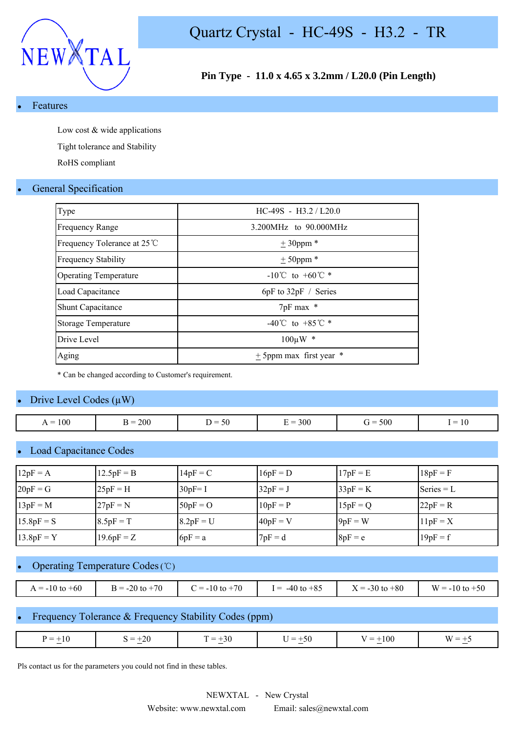

### **Pin Type - 11.0 x 4.65 x 3.2mm / L20.0 (Pin Length)**

#### **Features**

Low cost & wide applications

Tight tolerance and Stability

RoHS compliant

#### **General Specification**

| $HC-49S - H3.2 / L20.0$              |
|--------------------------------------|
| 3.200MHz to 90.000MHz                |
| $± 30$ ppm $*$                       |
| $± 50$ ppm $*$                       |
| $-10^{\circ}$ C to $+60^{\circ}$ C * |
| 6pF to 32pF / Series                 |
| 7pF max *                            |
| -40°C to +85°C $*$                   |
| $100 \mu W$ *                        |
| $\pm$ 5ppm max first year $*$        |
|                                      |

\* Can be changed according to Customer's requirement.

#### Drive Level Codes  $(\mu W)$

| $\sim$ $\sim$<br>$\dot{r} =$<br>- ⊱<br>) =<br>$\overline{\phantom{0}}$<br>эu |     |         |        |         |          |                         |
|------------------------------------------------------------------------------|-----|---------|--------|---------|----------|-------------------------|
|                                                                              | 100 | $= 200$ | $\sim$ | $= 300$ | 500<br>ີ | $\mathbf{1} \mathbf{U}$ |

#### **Load Capacitance Codes**

| $12pF = A$   | $12.5pF = B$ | $14pF = C$  | $16pF = D$ | $17pF = E$ | $18pF = F$   |
|--------------|--------------|-------------|------------|------------|--------------|
| $20pF = G$   | $25pF = H$   | $30pF = I$  | $32pF = J$ | $33pF = K$ | Series $= L$ |
| $13pF = M$   | $27pF = N$   | $50pF = O$  | $10pF = P$ | $15pF = Q$ | $22pF = R$   |
| $15.8pF = S$ | $8.5pF = T$  | $8.2pF = U$ | $40pF = V$ | $9pF = W$  | $11pF = X$   |
| $13.8pF = Y$ | $19.6pF = Z$ | $6pF = a$   | $7pF = d$  | $8pF = e$  | $19pF = f$   |

### Operating Temperature Codes (℃)

| $= -10$ to $+60$ | $= -20$ to $+70$ | $-10$ to $+70$<br>- | $-40$ to $+85$<br>$=$ | $+80$<br>$\zeta = -30$ to | W<br>$-10$ to $+50$<br>$=$ |
|------------------|------------------|---------------------|-----------------------|---------------------------|----------------------------|

#### Frequency Tolerance & Frequency Stability Codes (ppm)

|  | $\mathbf{v} =$<br><b>Contract Contract Contract Contract</b> | -20<br>_<br>and the second second second and | 70 V<br>. <del>.</del> | $\cdots$ | -<br>.<br>$\sim$ | $\mathbf{M}$ |
|--|--------------------------------------------------------------|----------------------------------------------|------------------------|----------|------------------|--------------|
|--|--------------------------------------------------------------|----------------------------------------------|------------------------|----------|------------------|--------------|

Pls contact us for the parameters you could not find in these tables.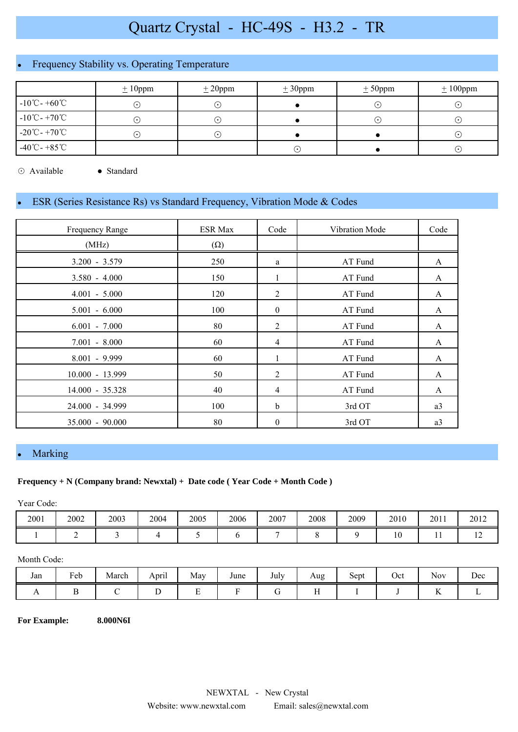# Frequency Stability vs. Operating Temperature

|                                    | $\pm 10$ ppm | $\pm 20$ ppm               | $\pm 30$ ppm | $± 50$ ppm  | $\pm 100$ ppm |
|------------------------------------|--------------|----------------------------|--------------|-------------|---------------|
| $-10^{\circ}$ C - $+60^{\circ}$ C  | $\odot$      | $(\,\boldsymbol{\cdot}\,)$ |              | ∙           | ( •           |
| $-10^{\circ}$ C - $+70^{\circ}$ C  | ( •`         | $(\,\boldsymbol{\cdot}\,)$ |              | $\bullet$ 1 | ( •           |
| $-20^{\circ}$ C - $+70^{\circ}$ C  | $(\cdot)$    | $(\,\boldsymbol{\cdot}\,)$ |              |             | ( •           |
| $-40^{\circ}$ C - +85 $^{\circ}$ C |              |                            |              |             | $(\cdot)$     |

⊙ Available ● Standard

## ESR (Series Resistance Rs) vs Standard Frequency, Vibration Mode & Codes

| Frequency Range   | <b>ESR Max</b> | Code           | Vibration Mode | Code         |
|-------------------|----------------|----------------|----------------|--------------|
| (MHz)             | $(\Omega)$     |                |                |              |
| $3.200 - 3.579$   | 250            | a              | AT Fund        | A            |
| $3.580 - 4.000$   | 150            | 1              | AT Fund        | A            |
| $4.001 - 5.000$   | 120            | 2              | AT Fund        | A            |
| $5.001 - 6.000$   | 100            | $\mathbf{0}$   | AT Fund        | A            |
| $6.001 - 7.000$   | 80             | $\overline{2}$ | AT Fund        | $\mathbf{A}$ |
| $7.001 - 8.000$   | 60             | $\overline{4}$ | AT Fund        | A            |
| $8.001 - 9.999$   | 60             | 1              | AT Fund        | A            |
| 10.000 - 13.999   | 50             | 2              | AT Fund        | A            |
| 14.000 - 35.328   | 40             | 4              | AT Fund        | A            |
| 24.000 - 34.999   | 100            | $\mathbf b$    | 3rd OT         | a3           |
| $35.000 - 90.000$ | 80             | $\theta$       | 3rd OT         | a3           |

### Marking

#### **Frequency + N (Company brand: Newxtal) + Date code ( Year Code + Month Code )**

Year Code:

| 2001 | 2002 | 2003 | 2004 | 2005 | 2006 | 2007 | 2008 | 2009 | 2010 | 2011 | 2012     |
|------|------|------|------|------|------|------|------|------|------|------|----------|
|      |      |      |      |      |      |      |      |      |      | . .  | <b>I</b> |

#### Month Code:

| Jan | <b>D</b><br>- 1<br>reb<br>. . | $\mathbf{r}$<br>March | $\cdot$ .<br>April | May    | June | July<br>$\sim$ | Aug<br>- C                   | $\sim$<br>Sept | Oct | - -<br><b>NOV</b>                       | Dec |
|-----|-------------------------------|-----------------------|--------------------|--------|------|----------------|------------------------------|----------------|-----|-----------------------------------------|-----|
| . . |                               |                       | ້                  | -<br>- |      |                | $\mathbf{r}$<br>$\mathbf{r}$ |                |     | $\mathbf{r}$<br>$\overline{\mathbf{r}}$ |     |

**For Example: 8.000N6I**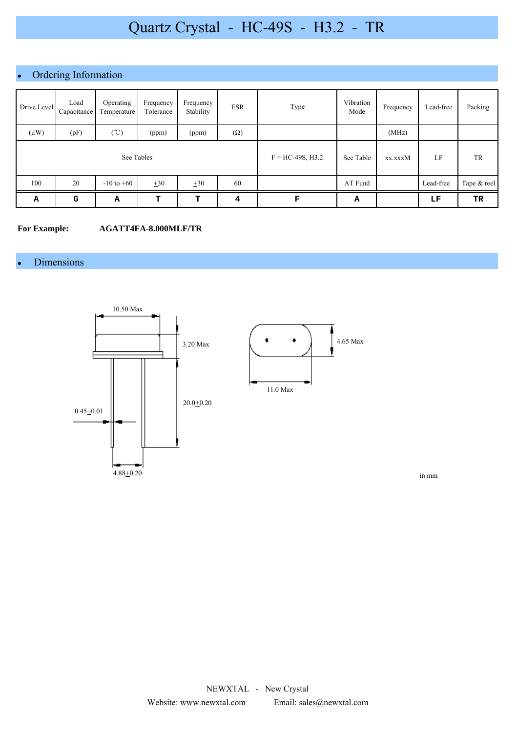# • Ordering Information

| Drive Level | Load<br>Capacitance | Operating<br>Temperature | Frequency<br>Tolerance | Frequency<br>Stability | <b>ESR</b>         | Type      | Vibration<br>Mode | Frequency | Lead-free | Packing     |
|-------------|---------------------|--------------------------|------------------------|------------------------|--------------------|-----------|-------------------|-----------|-----------|-------------|
| $(\mu W)$   | (pF)                | $(\degree C)$            | (ppm)                  | (ppm)                  | $(\Omega)$         |           |                   | (MHz)     |           |             |
| See Tables  |                     |                          |                        |                        | $F = HC-49S, H3.2$ | See Table | xx.xxxM           | LF        | TR        |             |
| 100         | 20                  | $-10$ to $+60$           | $+30$                  | $\pm 30$               | 60                 |           | AT Fund           |           | Lead-free | Tape & reel |
| Α           | G                   | А                        | т                      | т                      | 4                  | F         | А                 |           | LF        | TR          |

#### **For Example: AGATT4FA-8.000MLF/TR**

### **Dimensions**



in mm